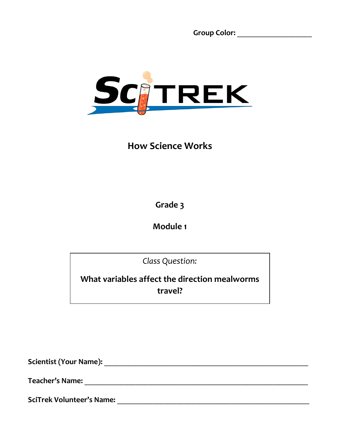**Group Color:** \_\_\_\_\_\_\_\_\_\_\_\_\_\_\_\_\_\_\_



# **How Science Works**

**Grade 3**

**Module 1**

*Class Question:*

**What variables affect the direction mealworms travel?**

**Scientist (Your Name):** \_\_\_\_\_\_\_\_\_\_\_\_\_\_\_\_\_\_\_\_\_\_\_\_\_\_\_\_\_\_\_\_\_\_\_\_\_\_\_\_\_\_\_\_\_\_\_\_\_\_\_\_

**Teacher's Name:** \_\_\_\_\_\_\_\_\_\_\_\_\_\_\_\_\_\_\_\_\_\_\_\_\_\_\_\_\_\_\_\_\_\_\_\_\_\_\_\_\_\_\_\_\_\_\_\_\_\_\_\_\_\_\_\_\_

**SciTrek Volunteer's Name:** \_\_\_\_\_\_\_\_\_\_\_\_\_\_\_\_\_\_\_\_\_\_\_\_\_\_\_\_\_\_\_\_\_\_\_\_\_\_\_\_\_\_\_\_\_\_\_\_\_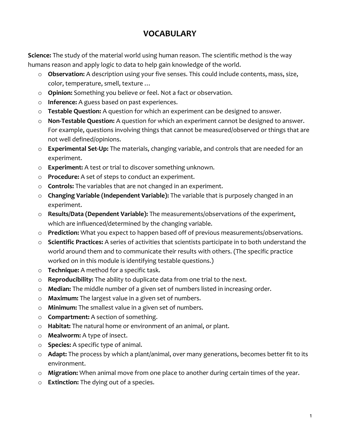## **VOCABULARY**

**Science:** The study of the material world using human reason. The scientific method is the way humans reason and apply logic to data to help gain knowledge of the world.

- o **Observation:** A description using your five senses. This could include contents, mass, size, color, temperature, smell, texture …
- o **Opinion:** Something you believe or feel. Not a fact or observation.
- o **Inference:** A guess based on past experiences.
- o **Testable Question:** A question for which an experiment can be designed to answer.
- o **Non-Testable Question:** A question for which an experiment cannot be designed to answer. For example, questions involving things that cannot be measured/observed or things that are not well defined/opinions.
- o **Experimental Set-Up:** The materials, changing variable, and controls that are needed for an experiment.
- o **Experiment:** A test or trial to discover something unknown.
- o **Procedure:** A set of steps to conduct an experiment.
- o **Controls:** The variables that are not changed in an experiment.
- o **Changing Variable (Independent Variable):** The variable that is purposely changed in an experiment.
- o **Results/Data (Dependent Variable):** The measurements/observations of the experiment, which are influenced/determined by the changing variable.
- o **Prediction:** What you expect to happen based off of previous measurements/observations.
- o **Scientific Practices:** A series of activities that scientists participate in to both understand the world around them and to communicate their results with others. (The specific practice worked on in this module is identifying testable questions.)
- o **Technique:** A method for a specific task.
- o **Reproducibility:** The ability to duplicate data from one trial to the next.
- o **Median:** The middle number of a given set of numbers listed in increasing order.
- o **Maximum:** The largest value in a given set of numbers.
- o **Minimum:** The smallest value in a given set of numbers.
- o **Compartment:** A section of something.
- o **Habitat:** The natural home or environment of an animal, or plant.
- o **Mealworm:** A type of insect.
- o **Species:** A specific type of animal.
- o **Adapt:** The process by which a plant/animal, over many generations, becomes better fit to its environment.
- o **Migration:** When animal move from one place to another during certain times of the year.
- o **Extinction:** The dying out of a species.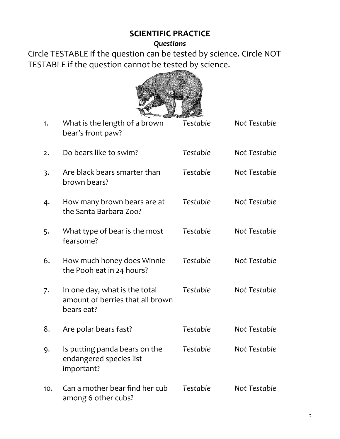## **SCIENTIFIC PRACTICE**

#### *Questions*

Circle TESTABLE if the question can be tested by science. Circle NOT TESTABLE if the question cannot be tested by science.



| 1.  | What is the length of a brown<br>bear's front paw?                              | Testable | Not Testable |
|-----|---------------------------------------------------------------------------------|----------|--------------|
| 2.  | Do bears like to swim?                                                          | Testable | Not Testable |
| 3.  | Are black bears smarter than<br>brown bears?                                    | Testable | Not Testable |
| 4.  | How many brown bears are at<br>the Santa Barbara Zoo?                           | Testable | Not Testable |
| 5.  | What type of bear is the most<br>fearsome?                                      | Testable | Not Testable |
| 6.  | How much honey does Winnie<br>the Pooh eat in 24 hours?                         | Testable | Not Testable |
| 7.  | In one day, what is the total<br>amount of berries that all brown<br>bears eat? | Testable | Not Testable |
| 8.  | Are polar bears fast?                                                           | Testable | Not Testable |
| 9.  | Is putting panda bears on the<br>endangered species list<br>important?          | Testable | Not Testable |
| 10. | Can a mother bear find her cub<br>among 6 other cubs?                           | Testable | Not Testable |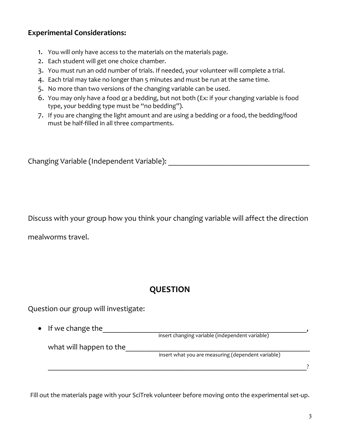#### **Experimental Considerations:**

- 1. You will only have access to the materials on the materials page.
- 2. Each student will get one choice chamber.
- 3. You must run an odd number of trials. If needed, your volunteer will complete a trial.
- 4. Each trial may take no longer than 5 minutes and must be run at the same time.
- 5. No more than two versions of the changing variable can be used.
- 6. You may only have a food or a bedding, but not both (Ex: if your changing variable is food type, your bedding type must be "no bedding").
- 7. If you are changing the light amount and are using a bedding or a food, the bedding/food must be half-filled in all three compartments.

Changing Variable (Independent Variable): \_\_\_\_\_\_\_\_\_\_\_\_\_\_\_\_\_\_\_\_\_\_\_\_\_\_\_\_\_\_\_\_\_\_\_\_

Discuss with your group how you think your changing variable will affect the direction

mealworms travel.

# **QUESTION**

Question our group will investigate:

• If we change the\_\_\_\_\_\_\_\_\_\_\_\_\_\_\_\_\_\_\_\_\_\_\_\_\_\_\_\_\_\_\_\_\_\_\_\_\_\_\_\_\_\_\_\_\_\_\_\_\_\_\_\_, what will happen to the\_\_\_\_\_\_\_\_\_\_\_\_\_\_\_\_\_\_\_\_\_\_\_\_\_\_\_\_\_\_\_\_\_\_\_\_\_\_\_\_\_\_\_\_\_\_\_ insert what you are measuring (dependent variable) insert changing variable (independent variable)

\_\_\_\_\_\_\_\_\_\_\_\_\_\_\_\_\_\_\_\_\_\_\_\_\_\_\_\_\_\_\_\_\_\_\_\_\_\_\_\_\_\_\_\_\_\_\_\_\_\_\_\_\_\_\_\_\_\_\_\_\_\_\_\_\_\_?

Fill out the materials page with your SciTrek volunteer before moving onto the experimental set-up.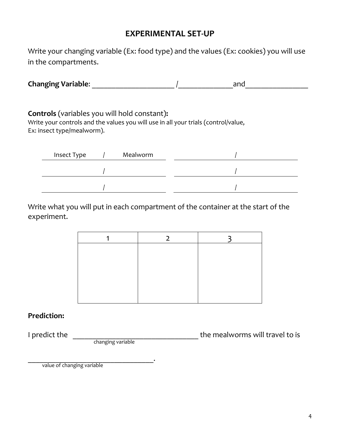## **EXPERIMENTAL SET-UP**

Write your changing variable (Ex: food type) and the values (Ex: cookies) you will use in the compartments.

| <b>Changing Variable:</b> | and |
|---------------------------|-----|
|                           |     |

**Controls** (variables you will hold constant)**:**

Write your controls and the values you will use in all your trials (control/value, Ex: insect type/mealworm).

| Insect Type | Mealworm |  |
|-------------|----------|--|
|             |          |  |
|             |          |  |

Write what you will put in each compartment of the container at the start of the experiment.

#### **Prediction:**

changing variable

I predict the **I** predict the **I** predict the mealworms will travel to is

\_\_\_\_\_\_\_\_\_\_\_\_\_\_\_\_\_\_\_\_\_\_\_\_\_\_\_\_\_\_\_\_. value of changing variable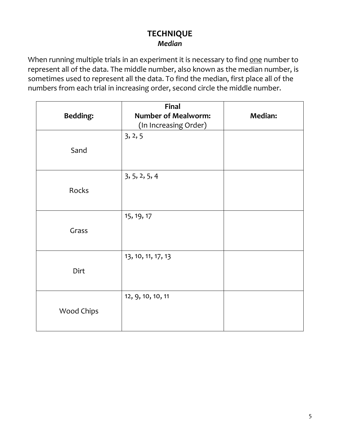## **TECHNIQUE** *Median*

When running multiple trials in an experiment it is necessary to find one number to represent all of the data. The middle number, also known as the median number, is sometimes used to represent all the data. To find the median, first place all of the numbers from each trial in increasing order, second circle the middle number.

| <b>Bedding:</b>   | <b>Final</b><br><b>Number of Mealworm:</b><br>(In Increasing Order) | <b>Median:</b> |
|-------------------|---------------------------------------------------------------------|----------------|
| Sand              | 3, 2, 5                                                             |                |
| Rocks             | 3, 5, 2, 5, 4                                                       |                |
| Grass             | 15, 19, 17                                                          |                |
| Dirt              | 13, 10, 11, 17, 13                                                  |                |
| <b>Wood Chips</b> | 12, 9, 10, 10, 11                                                   |                |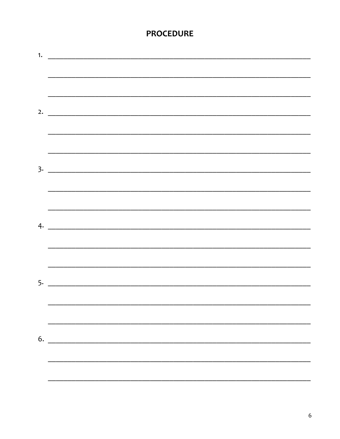## **PROCEDURE**

| $5.$ $\overline{\phantom{a}}$                                              |
|----------------------------------------------------------------------------|
|                                                                            |
|                                                                            |
|                                                                            |
|                                                                            |
|                                                                            |
|                                                                            |
| $\begin{array}{c}\n6. \quad \textcolor{blue}{\textbf{5.333}}\n\end{array}$ |
|                                                                            |
|                                                                            |
|                                                                            |
|                                                                            |
|                                                                            |
|                                                                            |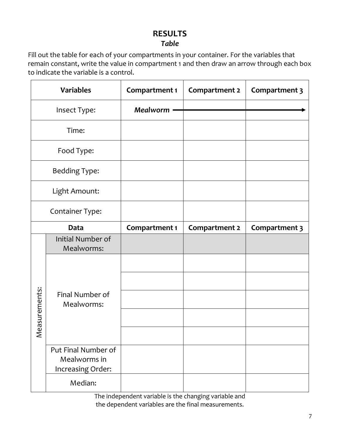# **RESULTS**

## *Table*

Fill out the table for each of your compartments in your container. For the variables that remain constant, write the value in compartment 1 and then draw an arrow through each box to indicate the variable is a control.

|                                           | <b>Variables</b>                                         | <b>Compartment 1</b> | Compartment 2 | Compartment 3 |
|-------------------------------------------|----------------------------------------------------------|----------------------|---------------|---------------|
|                                           | Insect Type:                                             | <b>Mealworm</b>      |               |               |
|                                           | Time:                                                    |                      |               |               |
|                                           | Food Type:                                               |                      |               |               |
|                                           | <b>Bedding Type:</b>                                     |                      |               |               |
|                                           | Light Amount:                                            |                      |               |               |
| Container Type:                           |                                                          |                      |               |               |
| <b>Data</b>                               |                                                          | Compartment 1        | Compartment 2 | Compartment 3 |
|                                           | Initial Number of<br>Mealworms:                          |                      |               |               |
|                                           |                                                          |                      |               |               |
|                                           |                                                          |                      |               |               |
| asurements:                               | Final Number of<br>Mealworms:                            |                      |               |               |
|                                           |                                                          |                      |               |               |
| $\stackrel{\scriptscriptstyle\circ}{\ge}$ |                                                          |                      |               |               |
|                                           | Put Final Number of<br>Mealworms in<br>Increasing Order: |                      |               |               |
|                                           | Median:                                                  |                      |               |               |

The independent variable is the changing variable and the dependent variables are the final measurements.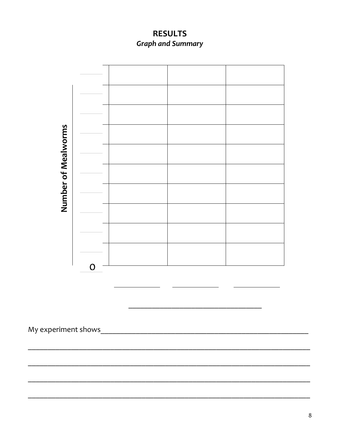**RESULTS Graph and Summary** 

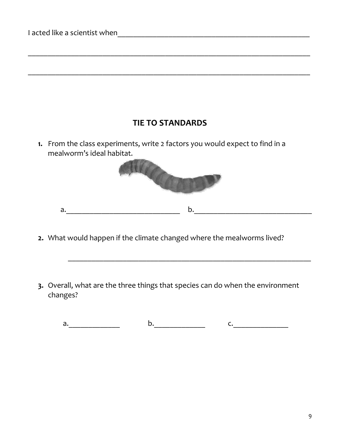# **TIE TO STANDARDS**

\_\_\_\_\_\_\_\_\_\_\_\_\_\_\_\_\_\_\_\_\_\_\_\_\_\_\_\_\_\_\_\_\_\_\_\_\_\_\_\_\_\_\_\_\_\_\_\_\_\_\_\_\_\_\_\_\_\_\_\_\_\_\_\_\_\_\_\_\_\_\_\_

\_\_\_\_\_\_\_\_\_\_\_\_\_\_\_\_\_\_\_\_\_\_\_\_\_\_\_\_\_\_\_\_\_\_\_\_\_\_\_\_\_\_\_\_\_\_\_\_\_\_\_\_\_\_\_\_\_\_\_\_\_\_\_\_\_\_\_\_\_\_\_\_

**1.** From the class experiments, write 2 factors you would expect to find in a mealworm's ideal habitat.



- **2.** What would happen if the climate changed where the mealworms lived?
- **3.** Overall, what are the three things that species can do when the environment changes?

a.\_\_\_\_\_\_\_\_\_\_\_\_\_ b.\_\_\_\_\_\_\_\_\_\_\_\_\_ c.\_\_\_\_\_\_\_\_\_\_\_\_\_\_

 $\mathcal{L}_\text{max}$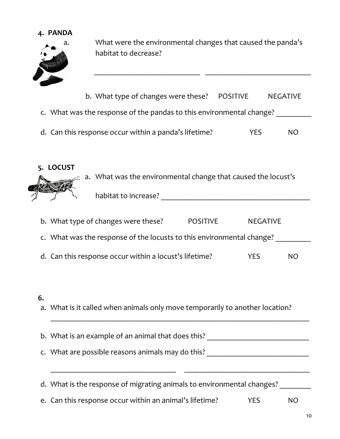**4. PANDA** 



a. What were the environmental changes that caused the panda's habitat to decrease?

b. What type of changes were these? POSITIVE NEGATIVE

 $\frac{1}{2}$  ,  $\frac{1}{2}$  ,  $\frac{1}{2}$  ,  $\frac{1}{2}$  ,  $\frac{1}{2}$  ,  $\frac{1}{2}$  ,  $\frac{1}{2}$  ,  $\frac{1}{2}$  ,  $\frac{1}{2}$  ,  $\frac{1}{2}$  ,  $\frac{1}{2}$  ,  $\frac{1}{2}$  ,  $\frac{1}{2}$  ,  $\frac{1}{2}$  ,  $\frac{1}{2}$  ,  $\frac{1}{2}$  ,  $\frac{1}{2}$  ,  $\frac{1}{2}$  ,  $\frac{1$ 

- c. What was the response of the pandas to this environmental change?
- d. Can this response occur within a panda's lifetime? The State State State State State State State State State S
- **5. LOCUST**



- b. What type of changes were these? POSITIVE NEGATIVE c. What was the response of the locusts to this environmental change? \_\_\_\_\_\_\_\_\_\_ d. Can this response occur within a locust's lifetime? The State State State State State State State State State State State State State State State State State State State State State State State State State State State S
- **6.**
- a. What is it called when animals only move temporarily to another location?

b. What is an example of an animal that does this? \_\_\_\_\_\_\_\_\_\_\_\_\_\_\_\_\_\_\_\_\_\_\_\_\_\_\_\_\_ c. What are possible reasons animals may do this? \_\_\_\_\_\_\_\_\_\_\_\_\_\_\_\_\_\_\_\_\_\_\_\_\_\_\_\_\_\_ \_\_\_\_\_\_\_\_\_\_\_\_\_\_\_\_\_\_\_\_\_\_\_\_\_\_\_\_\_\_\_\_ \_\_\_\_\_\_\_\_\_\_\_\_\_\_\_\_\_\_\_\_\_\_\_\_\_\_\_\_\_\_\_\_ d. What is the response of migrating animals to environmental changes?

\_\_\_\_\_\_\_\_\_\_\_\_\_\_\_\_\_\_\_\_\_\_\_\_\_\_\_\_\_\_\_\_\_\_\_\_\_\_\_\_\_\_\_\_\_\_\_\_\_\_\_\_\_\_\_\_\_\_\_\_\_\_\_\_\_\_

e. Can this response occur within an animal's lifetime? YES NO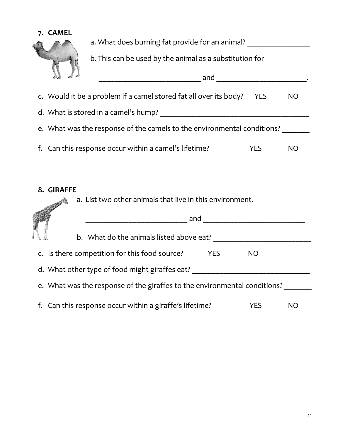

a. What does burning fat provide for an animal? \_\_\_\_\_\_\_\_\_\_\_\_\_\_\_\_\_\_\_\_\_\_\_\_\_\_\_\_\_\_\_\_

b. This can be used by the animal as a substitution for

| $\sum_{i=1}^n$ | and                                                                     |            |    |
|----------------|-------------------------------------------------------------------------|------------|----|
|                | c. Would it be a problem if a camel stored fat all over its body?       | <b>YES</b> | NO |
|                | d. What is stored in a camel's hump?                                    |            |    |
|                | e. What was the response of the camels to the environmental conditions? |            |    |
|                | f. Can this response occur within a camel's lifetime?                   | YFS        | NO |

#### **8. GIRAFFE**

a. List two other animals that live in this environment. 321277

|                                                                           |                                                         | and |     |     |  |  |  |
|---------------------------------------------------------------------------|---------------------------------------------------------|-----|-----|-----|--|--|--|
|                                                                           | b. What do the animals listed above eat?                |     |     |     |  |  |  |
|                                                                           | c. Is there competition for this food source?           | YES | NO. |     |  |  |  |
|                                                                           | d. What other type of food might giraffes eat?          |     |     |     |  |  |  |
| e. What was the response of the giraffes to the environmental conditions? |                                                         |     |     |     |  |  |  |
|                                                                           | f. Can this response occur within a giraffe's lifetime? |     | YFS | NO. |  |  |  |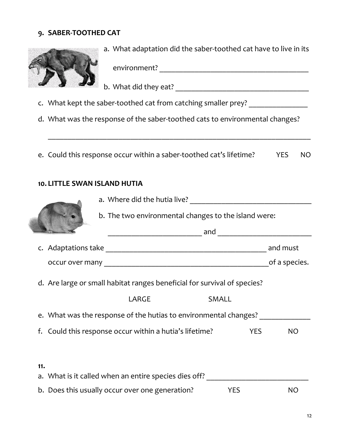#### **9. SABER-TOOTHED CAT**



a. What adaptation did the saber-toothed cat have to live in its

environment? \_\_\_\_\_\_\_\_\_\_\_\_\_\_\_\_\_\_\_\_\_\_\_\_\_\_\_\_\_\_\_\_\_\_\_\_\_\_

b. What did they eat? \_\_\_\_\_\_\_\_\_\_\_\_\_\_\_\_\_\_\_\_\_\_\_\_\_\_\_\_\_\_\_\_\_\_

- c. What kept the saber-toothed cat from catching smaller prey? \_\_\_\_\_\_\_\_\_\_\_\_\_\_\_\_\_
- d. What was the response of the saber-toothed cats to environmental changes?

e. Could this response occur within a saber-toothed cat's lifetime? YES NO

\_\_\_\_\_\_\_\_\_\_\_\_\_\_\_\_\_\_\_\_\_\_\_\_\_\_\_\_\_\_\_\_\_\_\_\_\_\_\_\_\_\_\_\_\_\_\_\_\_\_\_\_\_\_\_\_\_\_\_\_\_\_\_\_\_\_\_

#### **10. LITTLE SWAN ISLAND HUTIA**

|                                                              |                                                      | a. Where did the hutia live? |                                                                          |            |               |  |  |  |  |
|--------------------------------------------------------------|------------------------------------------------------|------------------------------|--------------------------------------------------------------------------|------------|---------------|--|--|--|--|
|                                                              | b. The two environmental changes to the island were: |                              |                                                                          |            |               |  |  |  |  |
|                                                              |                                                      |                              |                                                                          |            |               |  |  |  |  |
|                                                              |                                                      |                              |                                                                          |            | and must      |  |  |  |  |
|                                                              |                                                      |                              |                                                                          |            | of a species. |  |  |  |  |
|                                                              |                                                      |                              | d. Are large or small habitat ranges beneficial for survival of species? |            |               |  |  |  |  |
|                                                              |                                                      | LARGE                        | <b>SMALL</b>                                                             |            |               |  |  |  |  |
|                                                              |                                                      |                              | e. What was the response of the hutias to environmental changes?         |            |               |  |  |  |  |
| f. Could this response occur within a hutia's lifetime?      |                                                      |                              |                                                                          | <b>YES</b> | <b>NO</b>     |  |  |  |  |
|                                                              |                                                      |                              |                                                                          |            |               |  |  |  |  |
| 11.<br>a. What is it called when an entire species dies off? |                                                      |                              |                                                                          |            |               |  |  |  |  |
|                                                              |                                                      |                              |                                                                          |            |               |  |  |  |  |

b. Does this usually occur over one generation? The YES NO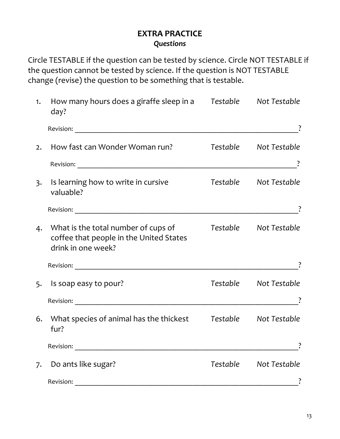## **EXTRA PRACTICE** *Questions*

Circle TESTABLE if the question can be tested by science. Circle NOT TESTABLE if the question cannot be tested by science. If the question is NOT TESTABLE change (revise) the question to be something that is testable.

| 1. | How many hours does a giraffe sleep in a Testable Not Testable<br>day?                                  |          |                       |
|----|---------------------------------------------------------------------------------------------------------|----------|-----------------------|
|    | Revision:                                                                                               |          |                       |
| 2. | How fast can Wonder Woman run?                                                                          |          | Testable Not Testable |
|    |                                                                                                         |          |                       |
| 3. | Is learning how to write in cursive<br>valuable?                                                        |          | Testable Not Testable |
|    |                                                                                                         |          |                       |
|    | 4. What is the total number of cups of<br>coffee that people in the United States<br>drink in one week? |          | Testable Not Testable |
|    |                                                                                                         |          |                       |
| 5. | Is soap easy to pour?                                                                                   |          | Testable Not Testable |
|    |                                                                                                         |          |                       |
| 6. | What species of animal has the thickest<br>fur?                                                         |          | Testable Not Testable |
|    | Revision:                                                                                               |          |                       |
| 7. | Do ants like sugar?                                                                                     | Testable | Not Testable          |
|    | Revision:                                                                                               |          |                       |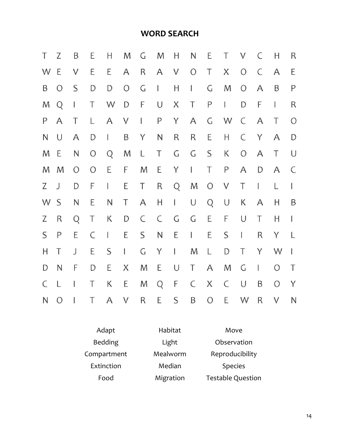## **WORD SEARCH**

| Τ            | Z              | B            | Ε             | H              | M            | G              | M             | H            | N             | Е            | T            | V            | C            | Н              | $\mathsf R$   |
|--------------|----------------|--------------|---------------|----------------|--------------|----------------|---------------|--------------|---------------|--------------|--------------|--------------|--------------|----------------|---------------|
| W            | E              | V            | E             | E              | A            | $\mathsf{R}$   | A             | V            | $\circ$       | Τ            | X            | $\bigcirc$   | $\mathsf{C}$ | $\mathsf{A}$   | E             |
| B            | $\overline{O}$ | $\mathsf{S}$ | D             | ${\mathsf D}$  | $\bigcirc$   | $\mathsf C$    | $\mathbf{I}$  | H            | L             | G            | M            | $\bigcirc$   | A            | B              | P             |
| M            | Q              | I            | Τ             | W              | D            | F              | $\cup$        | X            | Τ             | $\mathsf{P}$ | L            | $\mathsf{D}$ | F            | I              | ${\sf R}$     |
| P            | A              | Τ            | L.            | A              | V            | $\mathbf{I}$   | $\mathsf{P}$  | Y            | A             | G            | W            | $\mathsf{C}$ | $\mathsf{A}$ | T              | $\circ$       |
| N            | U              | A            | D             | $\mathbf{I}$   | B            | Y              | $\mathsf N$   | $\mathsf R$  | $\mathsf R$   | E            | Н            | C            | Y            | A              | ${\mathsf D}$ |
| M            | E              | N            | $\bigcirc$    | Q              | M            | $\mathsf{L}$   | $\top$        | $\mathsf C$  | G             | $\mathsf{S}$ | К            | $\bigcirc$   | $\mathsf{A}$ | T              | $\cup$        |
| M            | M              | $\circ$      | $\bigcirc$    | E              | F            | M              | E             | Y            | $\mathbbm{1}$ | T            | $\mathsf{P}$ | $\mathsf{A}$ | D            | $\mathsf{A}$   | $\mathsf{C}$  |
| Z            | J              | D            | F             | L              | E            | $\top$         | $\mathsf R$   | Q            | M             | $\circ$      | $\vee$       | $\top$       | $\mathsf{I}$ | L              | L             |
| W            | $\mathsf{S}$   | N            | Ε             | $\mathsf{N}$   | Τ            | $\mathsf{A}$   | Н             | $\mathbf{I}$ | U             | Q            | $\cup$       | К            | A            | Н              | B             |
| Z            | $\mathsf R$    | Q            | T             | $\sf K$        | D            | $\mathsf{C}$   | $\mathsf{C}$  | $\mathsf C$  | $\mathsf C$   | E            | F            | $\cup$       | Τ            | H              | T             |
| S            | P              | E            | $\mathsf C$   | $\mathsf{I}$   | E            | S              | ${\mathsf N}$ | $\mathsf E$  | $\mathbf{I}$  | E            | S            | $\mathsf{I}$ | $\mathsf R$  | Y              | L             |
| H            | Τ              | J            | Е             | S              | $\mathsf{I}$ | $\overline{G}$ | Y             | $\mathbf{I}$ | M             | L            | D            | T            | Y            | W              | $\mathbf{I}$  |
| D            | N              | F            | ${\mathsf D}$ | E              | X            | M              | E             | $\bigcup$    | Τ             | A            | M            | G            | I            | $\overline{O}$ | $\top$        |
| C            | L              | I            | Τ             | К              | E            | M              | Q             | F            | $\mathsf{C}$  | X            | $\mathsf{C}$ | U            | $\sf B$      | $\overline{O}$ | Y             |
| $\mathsf{N}$ | $\overline{O}$ | 1            | Τ             | $\overline{A}$ | $\vee$       | $\mathsf R$    | E             | S            | $\sf B$       | $\circ$      | E            | W            | R            | V              | N             |

| Adapt          | Habitat   | Move                     |
|----------------|-----------|--------------------------|
| <b>Bedding</b> | Light     | Observation              |
| Compartment    | Mealworm  | Reproducibility          |
| Extinction     | Median    | <b>Species</b>           |
| Food           | Migration | <b>Testable Question</b> |